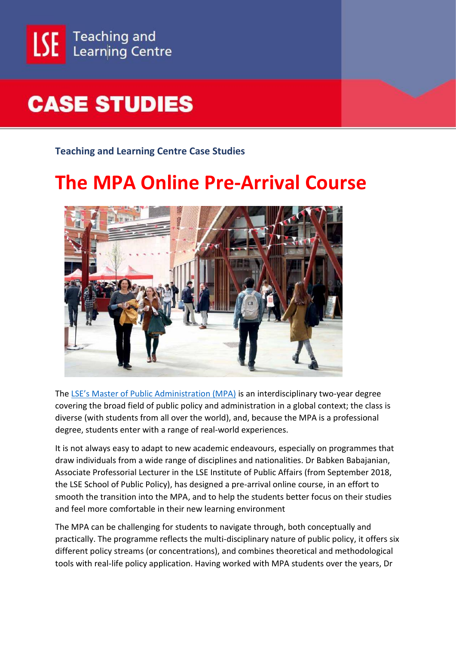

## **CASE STUDIES**

**Teaching and Learning Centre Case Studies**

## **The MPA Online Pre-Arrival Course**



The [LSE's Master of Public Administration \(MPA\)](http://www.lse.ac.uk/IPA/MPA) is an interdisciplinary two-year degree covering the broad field of public policy and administration in a global context; the class is diverse (with students from all over the world), and, because the MPA is a professional degree, students enter with a range of real-world experiences.

It is not always easy to adapt to new academic endeavours, especially on programmes that draw individuals from a wide range of disciplines and nationalities. Dr Babken Babajanian, Associate Professorial Lecturer in the LSE Institute of Public Affairs (from September 2018, the LSE School of Public Policy), has designed a pre-arrival online course, in an effort to smooth the transition into the MPA, and to help the students better focus on their studies and feel more comfortable in their new learning environment

The MPA can be challenging for students to navigate through, both conceptually and practically. The programme reflects the multi-disciplinary nature of public policy, it offers six different policy streams (or concentrations), and combines theoretical and methodological tools with real-life policy application. Having worked with MPA students over the years, Dr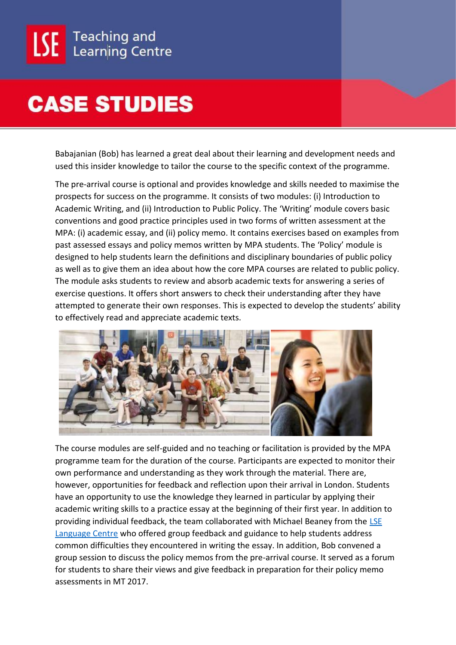## **CASE STUDIES**

Babajanian (Bob) has learned a great deal about their learning and development needs and used this insider knowledge to tailor the course to the specific context of the programme.

The pre-arrival course is optional and provides knowledge and skills needed to maximise the prospects for success on the programme. It consists of two modules: (i) Introduction to Academic Writing, and (ii) Introduction to Public Policy. The 'Writing' module covers basic conventions and good practice principles used in two forms of written assessment at the MPA: (i) academic essay, and (ii) policy memo. It contains exercises based on examples from past assessed essays and policy memos written by MPA students. The 'Policy' module is designed to help students learn the definitions and disciplinary boundaries of public policy as well as to give them an idea about how the core MPA courses are related to public policy. The module asks students to review and absorb academic texts for answering a series of exercise questions. It offers short answers to check their understanding after they have attempted to generate their own responses. This is expected to develop the students' ability to effectively read and appreciate academic texts.



The course modules are self-guided and no teaching or facilitation is provided by the MPA programme team for the duration of the course. Participants are expected to monitor their own performance and understanding as they work through the material. There are, however, opportunities for feedback and reflection upon their arrival in London. Students have an opportunity to use the knowledge they learned in particular by applying their academic writing skills to a practice essay at the beginning of their first year. In addition to providing individual feedback, the team collaborated with Michael Beaney from the LSE [Language Centre](http://www.lse.ac.uk/language-centre) who offered group feedback and guidance to help students address common difficulties they encountered in writing the essay. In addition, Bob convened a group session to discuss the policy memos from the pre-arrival course. It served as a forum for students to share their views and give feedback in preparation for their policy memo assessments in MT 2017.